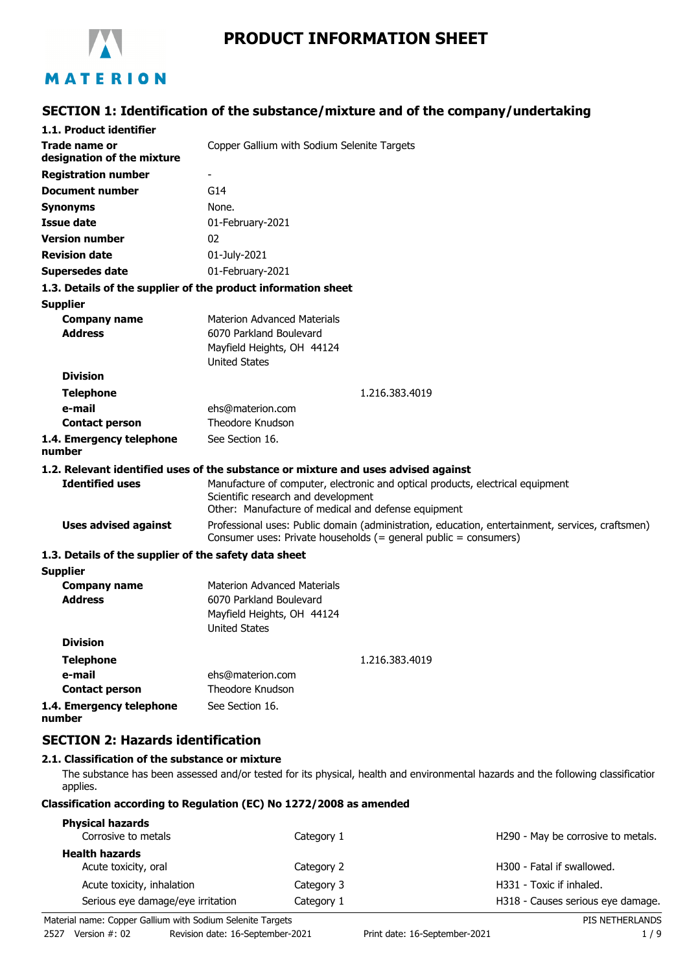

# **PRODUCT INFORMATION SHEET**

## **SECTION 1: Identification of the substance/mixture and of the company/undertaking**

| 1.1. Product identifier                               |                                                                                                                                                                      |
|-------------------------------------------------------|----------------------------------------------------------------------------------------------------------------------------------------------------------------------|
| Trade name or                                         | Copper Gallium with Sodium Selenite Targets                                                                                                                          |
| designation of the mixture                            |                                                                                                                                                                      |
| <b>Registration number</b>                            |                                                                                                                                                                      |
| <b>Document number</b>                                | G14                                                                                                                                                                  |
| <b>Synonyms</b>                                       | None.                                                                                                                                                                |
| <b>Issue date</b>                                     | 01-February-2021                                                                                                                                                     |
| <b>Version number</b>                                 | 02                                                                                                                                                                   |
| <b>Revision date</b>                                  | 01-July-2021                                                                                                                                                         |
| <b>Supersedes date</b>                                | 01-February-2021                                                                                                                                                     |
|                                                       | 1.3. Details of the supplier of the product information sheet                                                                                                        |
| <b>Supplier</b>                                       |                                                                                                                                                                      |
| <b>Company name</b>                                   | <b>Materion Advanced Materials</b>                                                                                                                                   |
| <b>Address</b>                                        | 6070 Parkland Boulevard                                                                                                                                              |
|                                                       | Mayfield Heights, OH 44124                                                                                                                                           |
| <b>Division</b>                                       | <b>United States</b>                                                                                                                                                 |
|                                                       |                                                                                                                                                                      |
| <b>Telephone</b><br>e-mail                            | 1.216.383.4019<br>ehs@materion.com                                                                                                                                   |
| <b>Contact person</b>                                 | Theodore Knudson                                                                                                                                                     |
| 1.4. Emergency telephone                              | See Section 16.                                                                                                                                                      |
| number                                                |                                                                                                                                                                      |
|                                                       | 1.2. Relevant identified uses of the substance or mixture and uses advised against                                                                                   |
| <b>Identified uses</b>                                | Manufacture of computer, electronic and optical products, electrical equipment                                                                                       |
|                                                       | Scientific research and development                                                                                                                                  |
|                                                       | Other: Manufacture of medical and defense equipment                                                                                                                  |
| <b>Uses advised against</b>                           | Professional uses: Public domain (administration, education, entertainment, services, craftsmen)<br>Consumer uses: Private households (= general public = consumers) |
| 1.3. Details of the supplier of the safety data sheet |                                                                                                                                                                      |
| <b>Supplier</b>                                       |                                                                                                                                                                      |
| <b>Company name</b>                                   | <b>Materion Advanced Materials</b>                                                                                                                                   |
| <b>Address</b>                                        | 6070 Parkland Boulevard                                                                                                                                              |
|                                                       | Mayfield Heights, OH 44124<br><b>United States</b>                                                                                                                   |
| <b>Division</b>                                       |                                                                                                                                                                      |
| <b>Telephone</b>                                      | 1.216.383.4019                                                                                                                                                       |
| e-mail                                                | ehs@materion.com                                                                                                                                                     |
| <b>Contact person</b>                                 | Theodore Knudson                                                                                                                                                     |
| 1.4. Emergency telephone                              | See Section 16.                                                                                                                                                      |
| number                                                |                                                                                                                                                                      |

### **SECTION 2: Hazards identification**

#### **2.1. Classification of the substance or mixture**

The substance has been assessed and/or tested for its physical, health and environmental hazards and the following classification applies.

### **Classification according to Regulation (EC) No 1272/2008 as amended**

| <b>Physical hazards</b>           |            |                                        |
|-----------------------------------|------------|----------------------------------------|
| Corrosive to metals               | Category 1 | H290 - May be corrosive to metals.     |
| <b>Health hazards</b>             |            |                                        |
| Acute toxicity, oral              | Category 2 | H <sub>300</sub> - Fatal if swallowed. |
| Acute toxicity, inhalation        | Category 3 | H331 - Toxic if inhaled.               |
| Serious eye damage/eye irritation | Category 1 | H318 - Causes serious eye damage.      |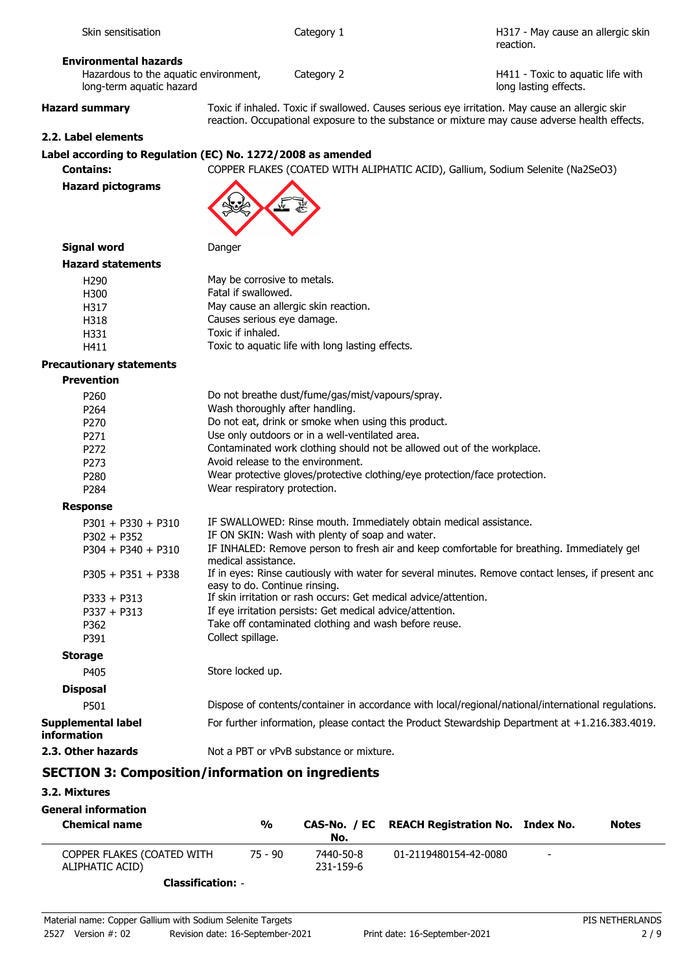| long-term aquatic hazard                             | long lasting effects.                                                                                                                                                                            |
|------------------------------------------------------|--------------------------------------------------------------------------------------------------------------------------------------------------------------------------------------------------|
| <b>Hazard summary</b>                                | Toxic if inhaled. Toxic if swallowed. Causes serious eye irritation. May cause an allergic skir<br>reaction. Occupational exposure to the substance or mixture may cause adverse health effects. |
| 2.2. Label elements                                  |                                                                                                                                                                                                  |
|                                                      | Label according to Regulation (EC) No. 1272/2008 as amended                                                                                                                                      |
| <b>Contains:</b>                                     | COPPER FLAKES (COATED WITH ALIPHATIC ACID), Gallium, Sodium Selenite (Na2SeO3)                                                                                                                   |
| <b>Hazard pictograms</b>                             | يبني                                                                                                                                                                                             |
| <b>Signal word</b>                                   | Danger                                                                                                                                                                                           |
| <b>Hazard statements</b>                             |                                                                                                                                                                                                  |
| H <sub>290</sub>                                     | May be corrosive to metals.                                                                                                                                                                      |
| H300                                                 | Fatal if swallowed.                                                                                                                                                                              |
| H317                                                 | May cause an allergic skin reaction.                                                                                                                                                             |
| H318                                                 | Causes serious eye damage.<br>Toxic if inhaled.                                                                                                                                                  |
| H331                                                 | Toxic to aquatic life with long lasting effects.                                                                                                                                                 |
| H411                                                 |                                                                                                                                                                                                  |
| <b>Precautionary statements</b><br><b>Prevention</b> |                                                                                                                                                                                                  |
| P <sub>260</sub>                                     | Do not breathe dust/fume/gas/mist/vapours/spray.                                                                                                                                                 |
| P264                                                 | Wash thoroughly after handling.                                                                                                                                                                  |
| P270                                                 | Do not eat, drink or smoke when using this product.                                                                                                                                              |
| P271                                                 | Use only outdoors or in a well-ventilated area.                                                                                                                                                  |
| P272                                                 | Contaminated work clothing should not be allowed out of the workplace.                                                                                                                           |
| P273                                                 | Avoid release to the environment.                                                                                                                                                                |
| P280                                                 | Wear protective gloves/protective clothing/eye protection/face protection.                                                                                                                       |
| P284                                                 | Wear respiratory protection.                                                                                                                                                                     |
| <b>Response</b>                                      |                                                                                                                                                                                                  |
| $P301 + P330 + P310$                                 | IF SWALLOWED: Rinse mouth. Immediately obtain medical assistance.                                                                                                                                |
| $P302 + P352$                                        | IF ON SKIN: Wash with plenty of soap and water.                                                                                                                                                  |
| $P304 + P340 + P310$                                 | IF INHALED: Remove person to fresh air and keep comfortable for breathing. Immediately get<br>medical assistance.                                                                                |
| $P305 + P351 + P338$                                 | If in eyes: Rinse cautiously with water for several minutes. Remove contact lenses, if present anc<br>easy to do. Continue rinsing.                                                              |
| $P333 + P313$                                        | If skin irritation or rash occurs: Get medical advice/attention.                                                                                                                                 |
| $P337 + P313$                                        | If eye irritation persists: Get medical advice/attention.                                                                                                                                        |
| P362<br>P391                                         | Take off contaminated clothing and wash before reuse.<br>Collect spillage.                                                                                                                       |
| <b>Storage</b>                                       |                                                                                                                                                                                                  |
| P405                                                 | Store locked up.                                                                                                                                                                                 |
| <b>Disposal</b>                                      |                                                                                                                                                                                                  |
| P501                                                 | Dispose of contents/container in accordance with local/regional/national/international regulations.                                                                                              |
| <b>Supplemental label</b><br>information             | For further information, please contact the Product Stewardship Department at +1.216.383.4019.                                                                                                   |
| 2.3. Other hazards                                   | Not a PBT or vPvB substance or mixture.                                                                                                                                                          |
|                                                      | <b>SECTION 3: Composition/information on ingredients</b>                                                                                                                                         |
|                                                      |                                                                                                                                                                                                  |

# **3.2. Mixtures**

| <b>General information</b><br><b>Chemical name</b> | $\frac{0}{0}$ | No.                    | CAS-No. / EC REACH Registration No. Index No. |                          | <b>Notes</b> |
|----------------------------------------------------|---------------|------------------------|-----------------------------------------------|--------------------------|--------------|
| COPPER FLAKES (COATED WITH<br>ALIPHATIC ACID)      | $75 - 90$     | 7440-50-8<br>231-159-6 | 01-2119480154-42-0080                         | $\overline{\phantom{0}}$ |              |
|                                                    |               |                        |                                               |                          |              |

**Classification:** -

Skin sensitisation and the category 1

Hazardous to the aquatic environment, Category 2

**Environmental hazards**

H317 - May cause an allergic skin

H411 - Toxic to aquatic life with

reaction.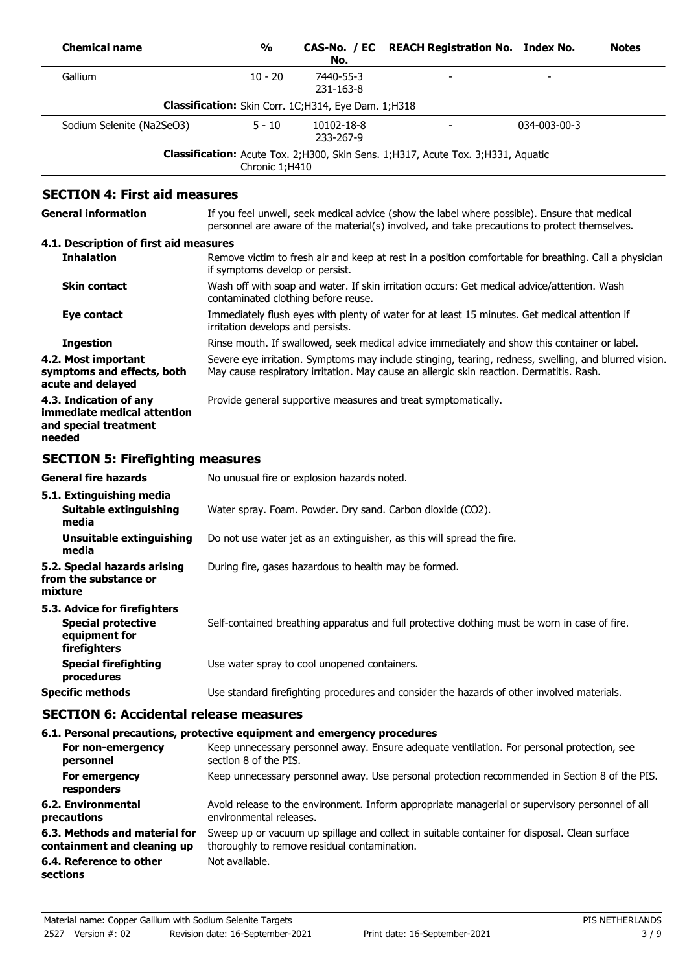| <b>Chemical name</b>                                                                       | $\frac{0}{0}$                                         | CAS-No. / EC<br>No.     | <b>REACH Registration No. Index No.</b>                                                                                                                                                           |              | <b>Notes</b> |
|--------------------------------------------------------------------------------------------|-------------------------------------------------------|-------------------------|---------------------------------------------------------------------------------------------------------------------------------------------------------------------------------------------------|--------------|--------------|
| Gallium                                                                                    | $10 - 20$                                             | 7440-55-3<br>231-163-8  |                                                                                                                                                                                                   |              |              |
|                                                                                            | Classification: Skin Corr. 1C;H314, Eye Dam. 1;H318   |                         |                                                                                                                                                                                                   |              |              |
| Sodium Selenite (Na2SeO3)                                                                  | $5 - 10$                                              | 10102-18-8<br>233-267-9 |                                                                                                                                                                                                   | 034-003-00-3 |              |
|                                                                                            | Chronic 1;H410                                        |                         | Classification: Acute Tox. 2; H300, Skin Sens. 1; H317, Acute Tox. 3; H331, Aquatic                                                                                                               |              |              |
| <b>SECTION 4: First aid measures</b>                                                       |                                                       |                         |                                                                                                                                                                                                   |              |              |
| <b>General information</b>                                                                 |                                                       |                         | If you feel unwell, seek medical advice (show the label where possible). Ensure that medical<br>personnel are aware of the material(s) involved, and take precautions to protect themselves.      |              |              |
| 4.1. Description of first aid measures                                                     |                                                       |                         |                                                                                                                                                                                                   |              |              |
| <b>Inhalation</b>                                                                          | if symptoms develop or persist.                       |                         | Remove victim to fresh air and keep at rest in a position comfortable for breathing. Call a physician                                                                                             |              |              |
| <b>Skin contact</b>                                                                        | contaminated clothing before reuse.                   |                         | Wash off with soap and water. If skin irritation occurs: Get medical advice/attention. Wash                                                                                                       |              |              |
| Eye contact                                                                                | irritation develops and persists.                     |                         | Immediately flush eyes with plenty of water for at least 15 minutes. Get medical attention if                                                                                                     |              |              |
| <b>Ingestion</b>                                                                           |                                                       |                         | Rinse mouth. If swallowed, seek medical advice immediately and show this container or label.                                                                                                      |              |              |
| 4.2. Most important<br>symptoms and effects, both<br>acute and delayed                     |                                                       |                         | Severe eye irritation. Symptoms may include stinging, tearing, redness, swelling, and blurred vision.<br>May cause respiratory irritation. May cause an allergic skin reaction. Dermatitis. Rash. |              |              |
| 4.3. Indication of any<br>immediate medical attention<br>and special treatment<br>needed   |                                                       |                         | Provide general supportive measures and treat symptomatically.                                                                                                                                    |              |              |
| <b>SECTION 5: Firefighting measures</b>                                                    |                                                       |                         |                                                                                                                                                                                                   |              |              |
| <b>General fire hazards</b>                                                                | No unusual fire or explosion hazards noted.           |                         |                                                                                                                                                                                                   |              |              |
| 5.1. Extinguishing media<br>Suitable extinguishing<br>media                                |                                                       |                         | Water spray. Foam. Powder. Dry sand. Carbon dioxide (CO2).                                                                                                                                        |              |              |
| <b>Unsuitable extinguishing</b><br>media                                                   |                                                       |                         | Do not use water jet as an extinguisher, as this will spread the fire.                                                                                                                            |              |              |
| 5.2. Special hazards arising<br>from the substance or<br>mixture                           | During fire, gases hazardous to health may be formed. |                         |                                                                                                                                                                                                   |              |              |
| 5.3. Advice for firefighters<br><b>Special protective</b><br>equipment for<br>firefighters |                                                       |                         | Self-contained breathing apparatus and full protective clothing must be worn in case of fire.                                                                                                     |              |              |
| <b>Special firefighting</b><br>procedures                                                  | Use water spray to cool unopened containers.          |                         |                                                                                                                                                                                                   |              |              |
| <b>Specific methods</b>                                                                    |                                                       |                         | Use standard firefighting procedures and consider the hazards of other involved materials.                                                                                                        |              |              |
| <b>SECTION 6: Accidental release measures</b>                                              |                                                       |                         |                                                                                                                                                                                                   |              |              |
| 6.1. Personal precautions, protective equipment and emergency procedures                   |                                                       |                         |                                                                                                                                                                                                   |              |              |
| For non-emergency<br>personnel                                                             | section 8 of the PIS.                                 |                         | Keep unnecessary personnel away. Ensure adequate ventilation. For personal protection, see                                                                                                        |              |              |
| For emergency<br>responders                                                                |                                                       |                         | Keep unnecessary personnel away. Use personal protection recommended in Section 8 of the PIS.                                                                                                     |              |              |
| 6.2. Environmental<br>precautions                                                          | environmental releases.                               |                         | Avoid release to the environment. Inform appropriate managerial or supervisory personnel of all                                                                                                   |              |              |
| 6.3. Methods and material for<br>containment and cleaning up                               | thoroughly to remove residual contamination.          |                         | Sweep up or vacuum up spillage and collect in suitable container for disposal. Clean surface                                                                                                      |              |              |
| 6.4. Reference to other<br>sections                                                        | Not available.                                        |                         |                                                                                                                                                                                                   |              |              |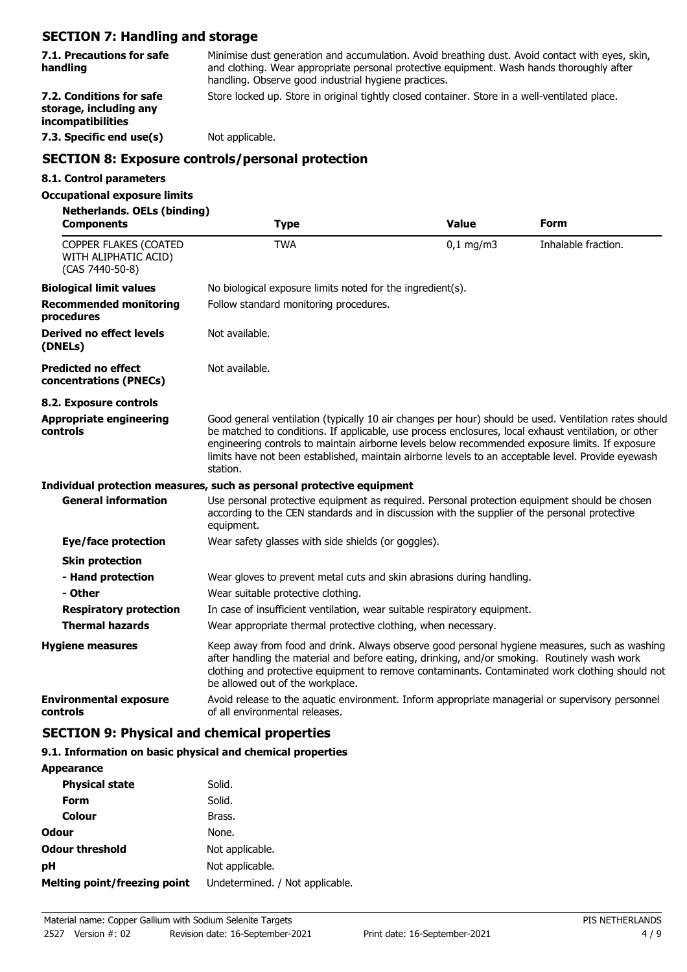# **SECTION 7: Handling and storage**

| 523110117111011011119 0110 3001 09C                                                     |                                                                                                                                                                                                                                                      |              |                     |  |
|-----------------------------------------------------------------------------------------|------------------------------------------------------------------------------------------------------------------------------------------------------------------------------------------------------------------------------------------------------|--------------|---------------------|--|
| 7.1. Precautions for safe<br>handling                                                   | Minimise dust generation and accumulation. Avoid breathing dust. Avoid contact with eyes, skin,<br>and clothing. Wear appropriate personal protective equipment. Wash hands thoroughly after<br>handling. Observe good industrial hygiene practices. |              |                     |  |
| 7.2. Conditions for safe<br>storage, including any<br>incompatibilities                 | Store locked up. Store in original tightly closed container. Store in a well-ventilated place.                                                                                                                                                       |              |                     |  |
| 7.3. Specific end use(s)                                                                | Not applicable.                                                                                                                                                                                                                                      |              |                     |  |
|                                                                                         | <b>SECTION 8: Exposure controls/personal protection</b>                                                                                                                                                                                              |              |                     |  |
| 8.1. Control parameters                                                                 |                                                                                                                                                                                                                                                      |              |                     |  |
| <b>Occupational exposure limits</b><br>Netherlands, OELs (binding)<br><b>Components</b> | <b>Type</b>                                                                                                                                                                                                                                          | <b>Value</b> | <b>Form</b>         |  |
| COPPER FLAKES (COATED                                                                   | <b>TWA</b>                                                                                                                                                                                                                                           | $0,1$ mg/m3  | Inhalable fraction. |  |

| WITH ALIPHATIC ACID)<br>(CAS 7440-50-8)              |                                                                                                                                                                                                                                                                                                                                                                                                                                    |
|------------------------------------------------------|------------------------------------------------------------------------------------------------------------------------------------------------------------------------------------------------------------------------------------------------------------------------------------------------------------------------------------------------------------------------------------------------------------------------------------|
| <b>Biological limit values</b>                       | No biological exposure limits noted for the ingredient(s).                                                                                                                                                                                                                                                                                                                                                                         |
| <b>Recommended monitoring</b><br>procedures          | Follow standard monitoring procedures.                                                                                                                                                                                                                                                                                                                                                                                             |
| Derived no effect levels<br>(DNELs)                  | Not available.                                                                                                                                                                                                                                                                                                                                                                                                                     |
| <b>Predicted no effect</b><br>concentrations (PNECs) | Not available.                                                                                                                                                                                                                                                                                                                                                                                                                     |
| 8.2. Exposure controls                               |                                                                                                                                                                                                                                                                                                                                                                                                                                    |
| <b>Appropriate engineering</b><br>controls           | Good general ventilation (typically 10 air changes per hour) should be used. Ventilation rates should<br>be matched to conditions. If applicable, use process enclosures, local exhaust ventilation, or other<br>engineering controls to maintain airborne levels below recommended exposure limits. If exposure<br>limits have not been established, maintain airborne levels to an acceptable level. Provide eyewash<br>station. |
|                                                      | Individual protection measures, such as personal protective equipment                                                                                                                                                                                                                                                                                                                                                              |
| <b>General information</b>                           | Use personal protective equipment as required. Personal protection equipment should be chosen<br>according to the CEN standards and in discussion with the supplier of the personal protective<br>equipment.                                                                                                                                                                                                                       |
| Eye/face protection                                  | Wear safety glasses with side shields (or goggles).                                                                                                                                                                                                                                                                                                                                                                                |
| <b>Skin protection</b>                               |                                                                                                                                                                                                                                                                                                                                                                                                                                    |
| - Hand protection                                    | Wear gloves to prevent metal cuts and skin abrasions during handling.                                                                                                                                                                                                                                                                                                                                                              |
| - Other                                              | Wear suitable protective clothing.                                                                                                                                                                                                                                                                                                                                                                                                 |
| <b>Respiratory protection</b>                        | In case of insufficient ventilation, wear suitable respiratory equipment.                                                                                                                                                                                                                                                                                                                                                          |
| <b>Thermal hazards</b>                               | Wear appropriate thermal protective clothing, when necessary.                                                                                                                                                                                                                                                                                                                                                                      |
| <b>Hygiene measures</b>                              | Keep away from food and drink. Always observe good personal hygiene measures, such as washing<br>after handling the material and before eating, drinking, and/or smoking. Routinely wash work<br>clothing and protective equipment to remove contaminants. Contaminated work clothing should not<br>be allowed out of the workplace.                                                                                               |
| <b>Environmental exposure</b><br>controls            | Avoid release to the aquatic environment. Inform appropriate managerial or supervisory personnel<br>of all environmental releases.                                                                                                                                                                                                                                                                                                 |

# **SECTION 9: Physical and chemical properties**

## **9.1. Information on basic physical and chemical properties**

| <b>Appearance</b>                   |                                 |
|-------------------------------------|---------------------------------|
| <b>Physical state</b>               | Solid.                          |
| Form                                | Solid.                          |
| Colour                              | Brass.                          |
| <b>Odour</b>                        | None.                           |
| <b>Odour threshold</b>              | Not applicable.                 |
| рH                                  | Not applicable.                 |
| <b>Melting point/freezing point</b> | Undetermined. / Not applicable. |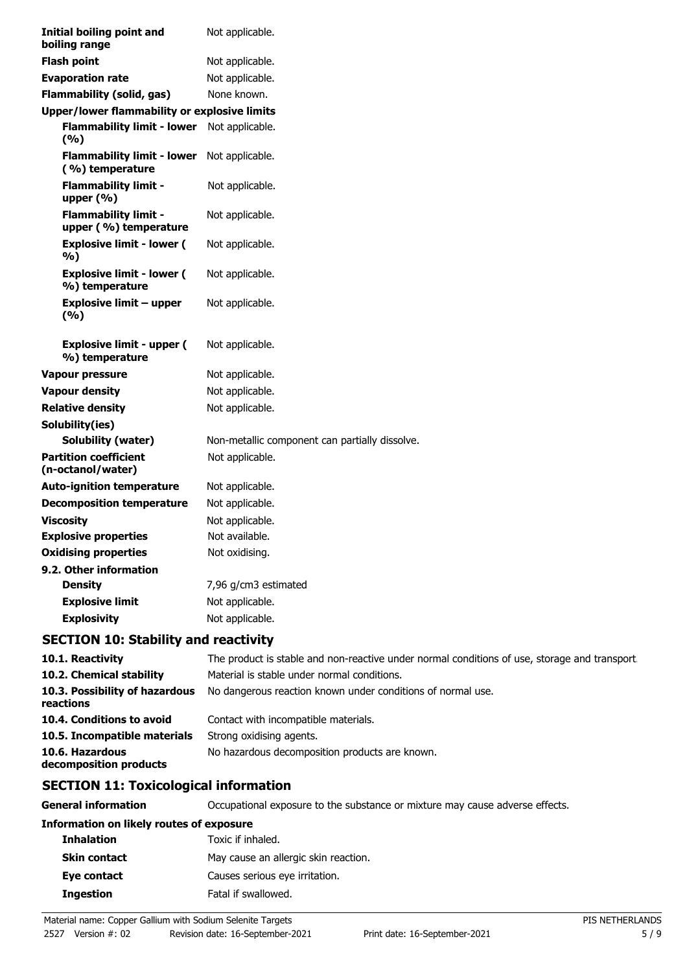| <b>Initial boiling point and</b><br>boiling range    | Not applicable.                                |
|------------------------------------------------------|------------------------------------------------|
| <b>Flash point</b>                                   | Not applicable.                                |
| <b>Evaporation rate</b>                              | Not applicable.                                |
| <b>Flammability (solid, gas)</b>                     | None known.                                    |
| <b>Upper/lower flammability or explosive limits</b>  |                                                |
| <b>Flammability limit - lower</b><br>(%)             | Not applicable.                                |
| <b>Flammability limit - lower</b><br>(%) temperature | Not applicable.                                |
| <b>Flammability limit -</b><br>upper $(% )$          | Not applicable.                                |
| <b>Flammability limit -</b><br>upper (%) temperature | Not applicable.                                |
| <b>Explosive limit - lower (</b><br>%)               | Not applicable.                                |
| <b>Explosive limit - lower (</b><br>%) temperature   | Not applicable.                                |
| <b>Explosive limit - upper</b><br>(9/6)              | Not applicable.                                |
| <b>Explosive limit - upper (</b><br>%) temperature   | Not applicable.                                |
| <b>Vapour pressure</b>                               | Not applicable.                                |
| <b>Vapour density</b>                                | Not applicable.                                |
| <b>Relative density</b>                              | Not applicable.                                |
| Solubility(ies)                                      |                                                |
| <b>Solubility (water)</b>                            | Non-metallic component can partially dissolve. |
| <b>Partition coefficient</b><br>(n-octanol/water)    | Not applicable.                                |
| <b>Auto-ignition temperature</b>                     | Not applicable.                                |
| <b>Decomposition temperature</b>                     | Not applicable.                                |
| <b>Viscosity</b>                                     | Not applicable.                                |
| <b>Explosive properties</b>                          | Not available.                                 |
| <b>Oxidising properties</b>                          | Not oxidising.                                 |
| 9.2. Other information                               |                                                |
| <b>Density</b>                                       | 7,96 g/cm3 estimated                           |
| <b>Explosive limit</b>                               | Not applicable.                                |
| <b>Explosivity</b>                                   | Not applicable.                                |

## **SECTION 10: Stability and reactivity**

| 10.1. Reactivity                            | The product is stable and non-reactive under normal conditions of use, storage and transport. |
|---------------------------------------------|-----------------------------------------------------------------------------------------------|
| 10.2. Chemical stability                    | Material is stable under normal conditions.                                                   |
| 10.3. Possibility of hazardous<br>reactions | No dangerous reaction known under conditions of normal use.                                   |
| 10.4. Conditions to avoid                   | Contact with incompatible materials.                                                          |
| 10.5. Incompatible materials                | Strong oxidising agents.                                                                      |
| 10.6. Hazardous<br>decomposition products   | No hazardous decomposition products are known.                                                |

# **SECTION 11: Toxicological information**

**General information CCCUPATION** Occupational exposure to the substance or mixture may cause adverse effects.

#### **Information on likely routes of exposure**

| <b>Inhalation</b> | Toxic if inhaled.                    |
|-------------------|--------------------------------------|
| Skin contact      | May cause an allergic skin reaction. |
| Eye contact       | Causes serious eye irritation.       |
| Ingestion         | Fatal if swallowed.                  |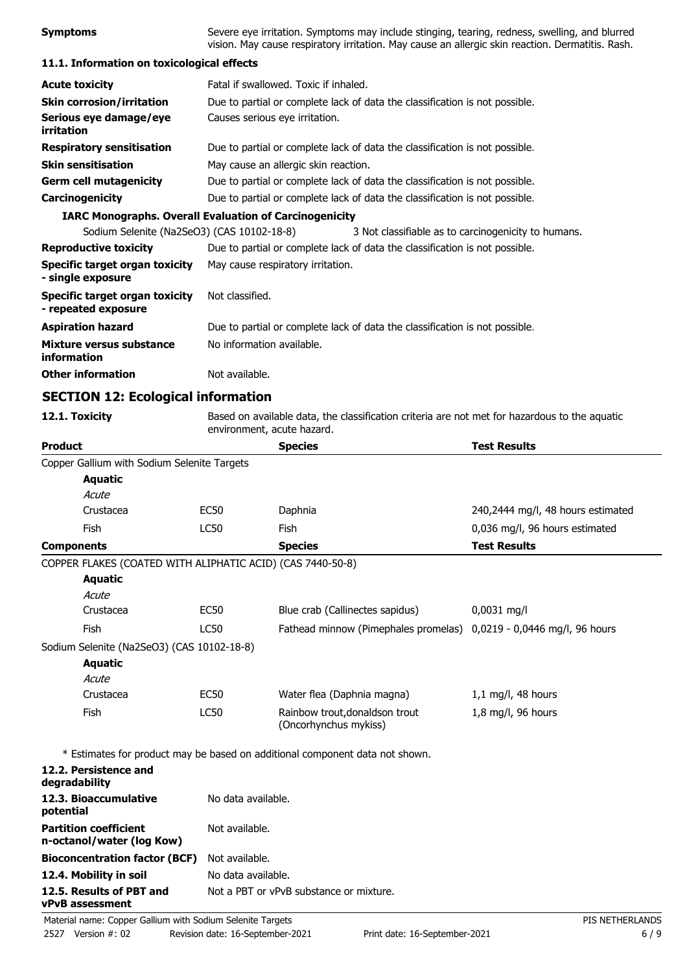| <b>Symptoms</b>                                       | Severe eye irritation. Symptoms may include stinging, tearing, redness, swelling, and blurred<br>vision. May cause respiratory irritation. May cause an allergic skin reaction. Dermatitis. Rash. |
|-------------------------------------------------------|---------------------------------------------------------------------------------------------------------------------------------------------------------------------------------------------------|
| 11.1. Information on toxicological effects            |                                                                                                                                                                                                   |
| <b>Acute toxicity</b>                                 | Fatal if swallowed. Toxic if inhaled.                                                                                                                                                             |
| <b>Skin corrosion/irritation</b>                      | Due to partial or complete lack of data the classification is not possible.                                                                                                                       |
| Serious eye damage/eye<br>irritation                  | Causes serious eye irritation.                                                                                                                                                                    |
| <b>Respiratory sensitisation</b>                      | Due to partial or complete lack of data the classification is not possible.                                                                                                                       |
| <b>Skin sensitisation</b>                             | May cause an allergic skin reaction.                                                                                                                                                              |
| <b>Germ cell mutagenicity</b>                         | Due to partial or complete lack of data the classification is not possible.                                                                                                                       |
| Carcinogenicity                                       | Due to partial or complete lack of data the classification is not possible.                                                                                                                       |
|                                                       | <b>IARC Monographs. Overall Evaluation of Carcinogenicity</b>                                                                                                                                     |
| Sodium Selenite (Na2SeO3) (CAS 10102-18-8)            | 3 Not classifiable as to carcinogenicity to humans.                                                                                                                                               |
| <b>Reproductive toxicity</b>                          | Due to partial or complete lack of data the classification is not possible.                                                                                                                       |
| Specific target organ toxicity<br>- single exposure   | May cause respiratory irritation.                                                                                                                                                                 |
| Specific target organ toxicity<br>- repeated exposure | Not classified.                                                                                                                                                                                   |
| <b>Aspiration hazard</b>                              | Due to partial or complete lack of data the classification is not possible.                                                                                                                       |
| Mixture versus substance<br>information               | No information available.                                                                                                                                                                         |
| <b>Other information</b>                              | Not available.                                                                                                                                                                                    |
| <b>SECTION 12: Ecological information</b>             |                                                                                                                                                                                                   |
| 12.1. Toxicity                                        | Based on available data, the classification criteria are not met for hazardous to the aquatic<br>environment, acute hazard.                                                                       |
|                                                       |                                                                                                                                                                                                   |

| <b>Product</b>                                             |                    | <b>Species</b>                                                               | <b>Test Results</b>               |
|------------------------------------------------------------|--------------------|------------------------------------------------------------------------------|-----------------------------------|
| Copper Gallium with Sodium Selenite Targets                |                    |                                                                              |                                   |
| <b>Aquatic</b>                                             |                    |                                                                              |                                   |
| Acute                                                      |                    |                                                                              |                                   |
| Crustacea                                                  | <b>EC50</b>        | Daphnia                                                                      | 240,2444 mg/l, 48 hours estimated |
| Fish                                                       | <b>LC50</b>        | <b>Fish</b>                                                                  | 0,036 mg/l, 96 hours estimated    |
| <b>Components</b>                                          |                    | <b>Species</b>                                                               | <b>Test Results</b>               |
| COPPER FLAKES (COATED WITH ALIPHATIC ACID) (CAS 7440-50-8) |                    |                                                                              |                                   |
| <b>Aquatic</b>                                             |                    |                                                                              |                                   |
| Acute                                                      |                    |                                                                              |                                   |
| Crustacea                                                  | <b>EC50</b>        | Blue crab (Callinectes sapidus)                                              | $0,0031$ mg/l                     |
| Fish                                                       | <b>LC50</b>        | Fathead minnow (Pimephales promelas) 0,0219 - 0,0446 mg/l, 96 hours          |                                   |
| Sodium Selenite (Na2SeO3) (CAS 10102-18-8)                 |                    |                                                                              |                                   |
| <b>Aquatic</b>                                             |                    |                                                                              |                                   |
| Acute                                                      |                    |                                                                              |                                   |
| Crustacea                                                  | <b>EC50</b>        | Water flea (Daphnia magna)                                                   | $1,1$ mg/l, 48 hours              |
| Fish                                                       | <b>LC50</b>        | Rainbow trout, donaldson trout<br>(Oncorhynchus mykiss)                      | 1,8 mg/l, 96 hours                |
|                                                            |                    | * Estimates for product may be based on additional component data not shown. |                                   |
| 12.2. Persistence and<br>degradability                     |                    |                                                                              |                                   |
| 12.3. Bioaccumulative<br>potential                         | No data available. |                                                                              |                                   |
| <b>Partition coefficient</b><br>n-octanol/water (log Kow)  | Not available.     |                                                                              |                                   |
| <b>Bioconcentration factor (BCF)</b>                       | Not available.     |                                                                              |                                   |
| 12.4. Mobility in soil                                     | No data available. |                                                                              |                                   |

**vPvB assessment**

**12.5. Results of PBT and** Not a PBT or vPvB substance or mixture.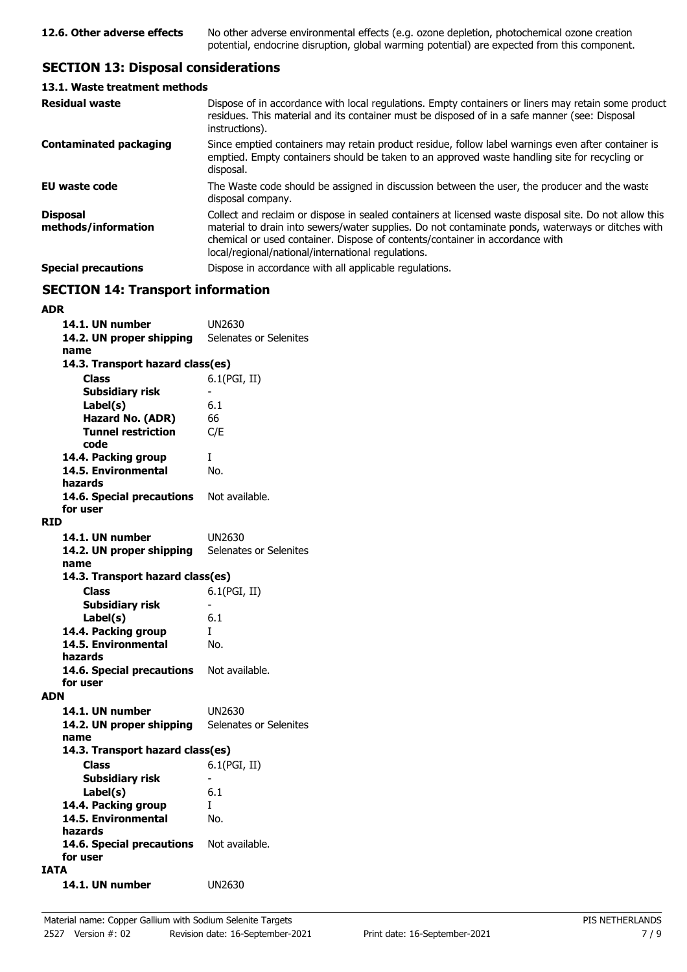## **SECTION 13: Disposal considerations**

| 13.1. Waste treatment methods          |                                                                                                                                                                                                                                                                                                                                                   |
|----------------------------------------|---------------------------------------------------------------------------------------------------------------------------------------------------------------------------------------------------------------------------------------------------------------------------------------------------------------------------------------------------|
| <b>Residual waste</b>                  | Dispose of in accordance with local regulations. Empty containers or liners may retain some product<br>residues. This material and its container must be disposed of in a safe manner (see: Disposal<br>instructions).                                                                                                                            |
| <b>Contaminated packaging</b>          | Since emptied containers may retain product residue, follow label warnings even after container is<br>emptied. Empty containers should be taken to an approved waste handling site for recycling or<br>disposal.                                                                                                                                  |
| EU waste code                          | The Waste code should be assigned in discussion between the user, the producer and the waste<br>disposal company.                                                                                                                                                                                                                                 |
| <b>Disposal</b><br>methods/information | Collect and reclaim or dispose in sealed containers at licensed waste disposal site. Do not allow this<br>material to drain into sewers/water supplies. Do not contaminate ponds, waterways or ditches with<br>chemical or used container. Dispose of contents/container in accordance with<br>local/regional/national/international regulations. |
| <b>Special precautions</b>             | Dispose in accordance with all applicable regulations.                                                                                                                                                                                                                                                                                            |

### **SECTION 14: Transport information**

#### **ADR**

| 14.1. UN number                          | UN2630                   |
|------------------------------------------|--------------------------|
| 14.2. UN proper shipping                 | Selenates or Selenites   |
| name                                     |                          |
| 14.3. Transport hazard class(es)         |                          |
|                                          |                          |
| <b>Class</b>                             | 6.1(PGI, II)             |
| <b>Subsidiary risk</b>                   |                          |
| Label(s)                                 | 6.1                      |
| Hazard No. (ADR)                         | 66                       |
| <b>Tunnel restriction</b>                | C/E                      |
| code                                     |                          |
| 14.4. Packing group                      | Ι                        |
| 14.5. Environmental                      | No.                      |
| hazards                                  |                          |
| 14.6. Special precautions Not available. |                          |
| for user                                 |                          |
| <b>RID</b>                               |                          |
|                                          |                          |
| 14.1. UN number                          | UN2630                   |
| 14.2. UN proper shipping                 | Selenates or Selenites   |
| name                                     |                          |
| 14.3. Transport hazard class(es)         |                          |
| <b>Class</b>                             | 6.1(PGI, II)             |
| <b>Subsidiary risk</b>                   |                          |
| Label(s)                                 | 6.1                      |
| 14.4. Packing group                      | T                        |
| 14.5. Environmental                      | No.                      |
| hazards                                  |                          |
| 14.6. Special precautions Not available. |                          |
| for user                                 |                          |
|                                          |                          |
| <b>ADN</b>                               |                          |
| 14.1. UN number                          | UN2630                   |
| 14.2. UN proper shipping                 | Selenates or Selenites   |
| name                                     |                          |
| 14.3. Transport hazard class(es)         |                          |
| <b>Class</b>                             | 6.1(PGI, II)             |
| <b>Subsidiary risk</b>                   | $\overline{\phantom{0}}$ |
| Label(s)                                 | 6.1                      |
| 14.4. Packing group                      | I                        |
| 14.5. Environmental                      | No.                      |
| hazards                                  |                          |
| 14.6. Special precautions Not available. |                          |
|                                          |                          |
| for user                                 |                          |
| <b>IATA</b>                              |                          |
| 14.1. UN number                          | UN2630                   |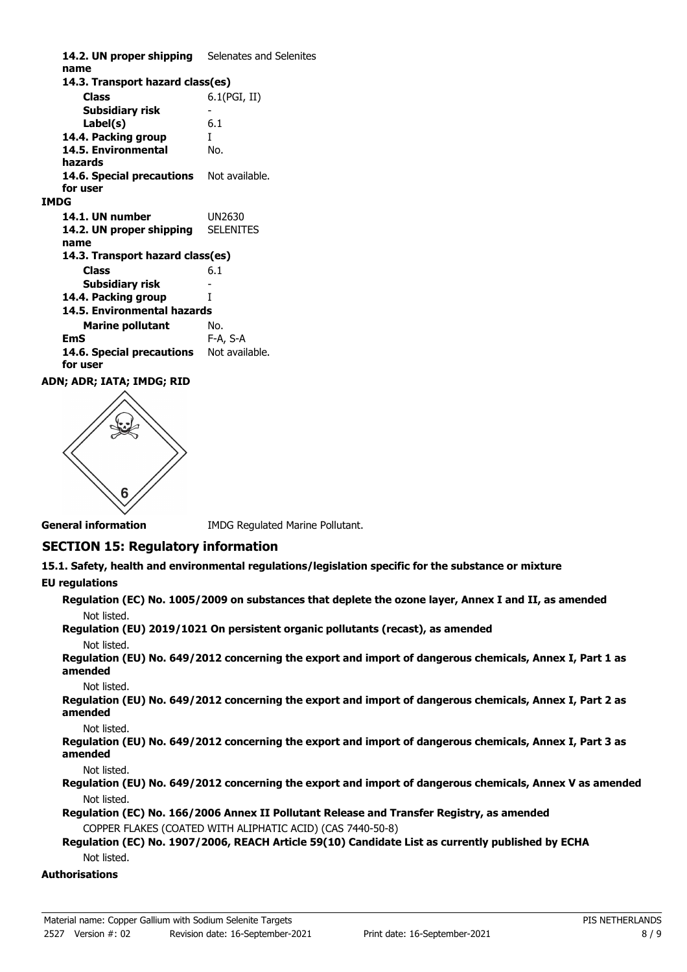14.2. UN proper shipping Selenates and Selenites **name Class** 6.1(PGI, II) **14.3. Transport hazard class(es) Subsidiary risk Label(s)** 6.1 **14.4. Packing group** I **14.5. Environmental** No. **hazards** 14.6. Special precautions Not available. **for user IMDG 14.1. UN number** UN2630 **14.2. UN proper shipping** SELENITES **name Class** 6.1 **14.3. Transport hazard class(es) Subsidiary risk 14.4. Packing group** I **Marine pollutant** No. **14.5. Environmental hazards EmS** F-A, S-A 14.6. Special precautions Not available. **for user**

#### **ADN; ADR; IATA; IMDG; RID**



**General information IMDG Regulated Marine Pollutant.** 

### **SECTION 15: Regulatory information**

**15.1. Safety, health and environmental regulations/legislation specific for the substance or mixture**

#### **EU regulations**

**Regulation (EC) No. 1005/2009 on substances that deplete the ozone layer, Annex I and II, as amended** Not listed.

**Regulation (EU) 2019/1021 On persistent organic pollutants (recast), as amended**

#### Not listed.

**Regulation (EU) No. 649/2012 concerning the export and import of dangerous chemicals, Annex I, Part 1 as amended**

Not listed.

**Regulation (EU) No. 649/2012 concerning the export and import of dangerous chemicals, Annex I, Part 2 as amended**

#### Not listed.

**Regulation (EU) No. 649/2012 concerning the export and import of dangerous chemicals, Annex I, Part 3 as amended**

#### Not listed.

**Regulation (EU) No. 649/2012 concerning the export and import of dangerous chemicals, Annex V as amended** Not listed.

**Regulation (EC) No. 166/2006 Annex II Pollutant Release and Transfer Registry, as amended** COPPER FLAKES (COATED WITH ALIPHATIC ACID) (CAS 7440-50-8)

**Regulation (EC) No. 1907/2006, REACH Article 59(10) Candidate List as currently published by ECHA** Not listed.

#### **Authorisations**